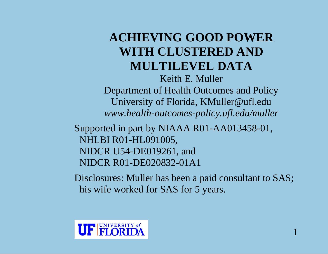# **ACHIEVING GOOD POWERWITH CLUSTERED ANDMULTILEVEL DATA**

Keith E. MullerDepartment of Health Outcomes and Policy University of Florida, KMuller@ufl.edu *www.health-outcomes-policy.ufl.edu/muller*

Supported in part by NIAAA R01-AA013458-01, NHLBI R01-HL091005, NIDCR U54-DE019261, and NIDCR R01-DE020832-01A1

Disclosures: Muller has been a paid consultant to SAS; his wife worked for SAS for 5 years.

1

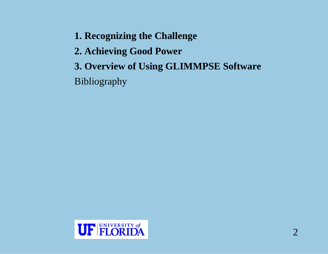**1. Recognizing the Challenge**

**2. Achieving Good Power**

**3. Overview of Using GLIMMPSE Software**

Bibliography

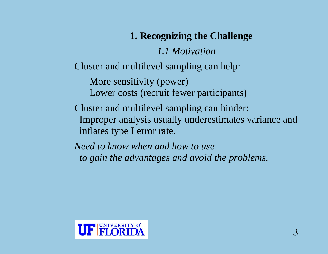## **1. Recognizing the Challenge**

#### *1.1 Motivation*

Cluster and multilevel sampling can help:

More sensitivity (power)

Lower costs (recruit fewer participants)

Cluster and multilevel sampling can hinder: Improper analysis usually underestimates variance and inflates type I error rate.

*Need to know when and how to use to gain the advantages and avoid the problems.*

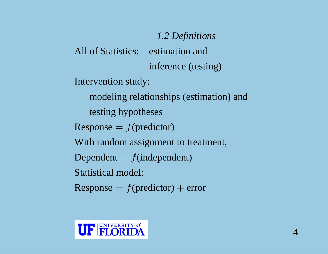*1.2 Definitions* All of Statistics: estimation and inference (testing) Intervention study: modeling relationships (estimation) and testing hypotheses  $Response = f(predictor)$ With random assignment to treatment, Dependent  $= f$ (independent) Statistical model:  $Respose = f(predictor) + error$ 

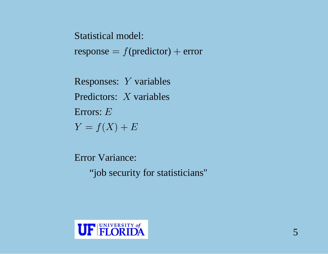```
Statistical model:
response = f(predictor) + error
```
Responses:  $Y$  variables Predictors:  $X$  variables Errors:  $E$  $Y = f(X) + E$ 

Error Variance:

"job security for statisticians"

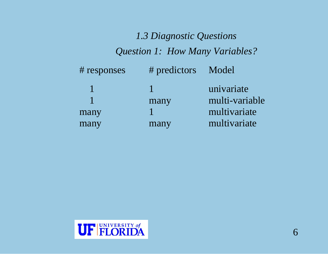# *1.3 Diagnostic Questions Question 1: How Many Variables?*

| # responses | # predictors Model |                |
|-------------|--------------------|----------------|
|             |                    | univariate     |
|             | many               | multi-variable |
| many        |                    | multivariate   |
| many        | many               | multivariate   |

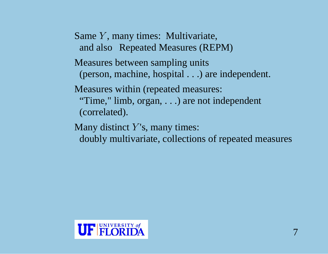Same  $Y$ , many times: Multivariate, and also Repeated Measures (REPM) Measures between sampling units (person, machine, hospital . . .) are independent. Measures within (repeated measures: "Time," limb, organ, . . .) are not independent (correlated).

Many distinct  $Y$ 's, many times: doubly multivariate, collections of repeated measures

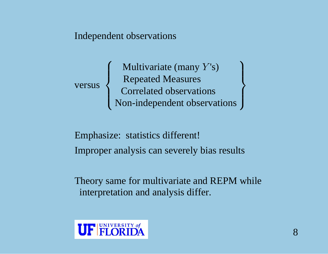Independent observations

versus

Multivariate (many  $Y$ 's) Repeated Measures Correlated observations Non-independent observa Multivariate (many Y's)<br>Repeated Measures<br>Correlated observations<br>Non-independent observations  $\,$ tions

Emphasize: statistics different! Improper analysis can severely bias results

Theory same for multivariate and REPM while interpretation and analysis differ.

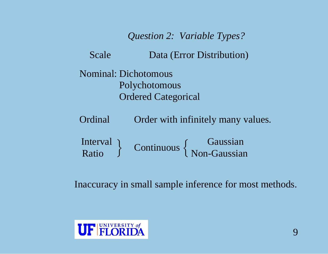#### *Question 2: Variable Types?*

Scale Data (Error Distribution)

Nominal: Dichotomous Polychotomous Ordered Categorical

Ordinal Order with infinitely many values.

Interval Gaussian Ratio Non-Gaussian Continuous

Inaccuracy in small sample inference for most methods.

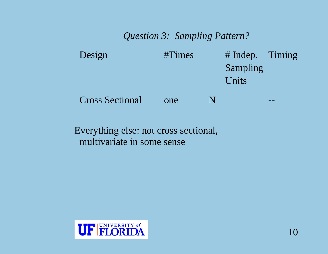*Question 3: Sampling Pattern?*

| Design                 | #Times |   | # Indep. Timing |  |
|------------------------|--------|---|-----------------|--|
|                        |        |   | Sampling        |  |
|                        |        |   | Units           |  |
| <b>Cross Sectional</b> | one    | N |                 |  |

Everything else: not cross sectional, multivariate in some sense

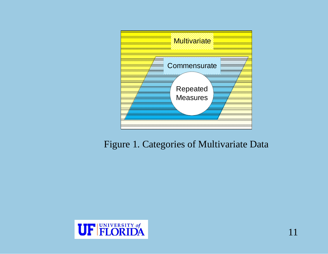

#### Figure 1. Categories of Multivariate Data

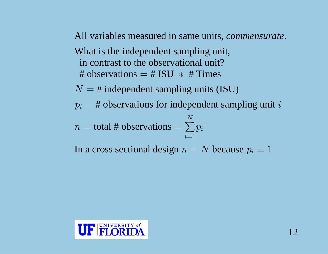All variables measured in same units, *commensurate*.

What is the independent sampling unit, in contrast to the observational unit?# observations  $=$  # ISU  $*$  # Times

 $N = #$  independent sampling units (ISU)

 $p_i = \text{\#}$  observations for independent sampling unit i

$$
n = total \# observations = \sum_{i=1}^{N} p_i
$$

In a cross sectional design  $n = N$  because  $p_i \equiv 1$ 

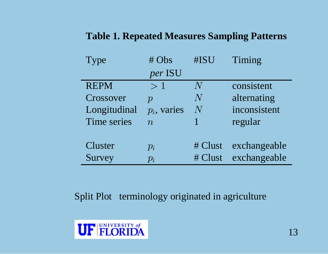#### **Table 1. Repeated Measures Sampling Patterns**

| Type         | # Obs            | #ISU    | Timing       |
|--------------|------------------|---------|--------------|
|              | per ISU          |         |              |
| <b>REPM</b>  | >1               | N       | consistent   |
| Crossover    | $\mathcal{D}$    | N       | alternating  |
| Longitudinal | $p_i$ , varies   | N       | inconsistent |
| Time series  | $\boldsymbol{n}$ |         | regular      |
|              |                  |         |              |
| Cluster      | $p_i$            | # Clust | exchangeable |
| Survey       | $p_i$            | # Clust | exchangeable |

#### Split Plot terminology originated in agriculture

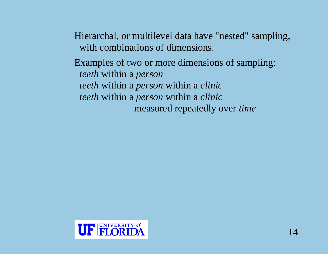Hierarchal, or multilevel data have "nested" sampling, with combinations of dimensions.

Examples of two or more dimensions of sampling: *teeth* within a *person teeth* within a *person* within a *clinic teeth* within a *person* within a *clinic* measured repeatedly over *time*

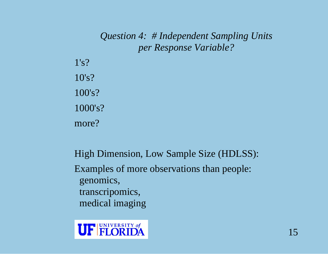*Question 4: # Independent Sampling Units per Response Variable?*

1's?10's?100's? 1000's?

more?

High Dimension, Low Sample Size (HDLSS): Examples of more observations than people: genomics, transcripomics, medical imaging

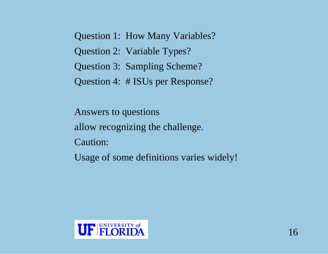Question 1: How Many Variables? Question 2: Variable Types? Question 3: Sampling Scheme? Question 4: # ISUs per Response?

Answers to questions allow recognizing the challenge. Caution: Usage of some definitions varies widely!

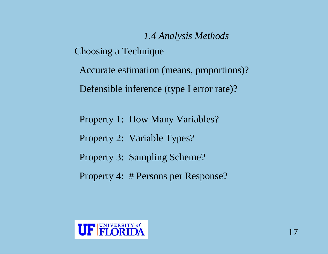*1.4 Analysis Methods* Choosing a Technique

Accurate estimation (means, proportions)?

Defensible inference (type I error rate)?

Property 1: How Many Variables?

Property 2: Variable Types?

Property 3: Sampling Scheme?

Property 4: # Persons per Response?

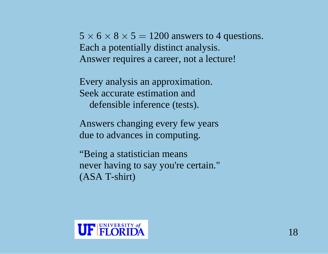$5\times6\times8\times5 = 1200$  answers to 4 questions. Each a potentially distinct analysis. Answer requires a career, not a lecture!

Every analysis an approximation. Seek accurate estimation and defensible inference (tests).

Answers changing every few years due to advances in computing.

"Being a statistician means never having to say you're certain." (ASA T-shirt)

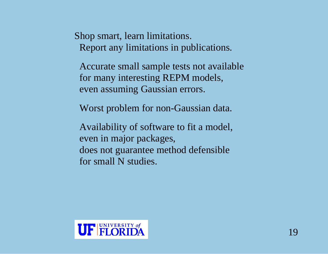Shop smart, learn limitations. Report any limitations in publications.

Accurate small sample tests not available for many interesting REPM models, even assuming Gaussian errors.

Worst problem for non-Gaussian data.

Availability of software to fit a model, even in major packages, does not guarantee method defensible for small N studies.

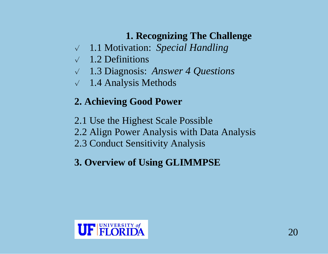## **1. Recognizing The Challenge**

- <sup>r</sup> 1.1 Motivation: *Special Handling*
- $\sqrt{ }$  1.2 Definitions
- <sup>r</sup> 1.3 Diagnosis: *Answer 4 Questions*
- $\sqrt{1.4}$  Analysis Methods

## **2. Achieving Good Power**

2.1 Use the Highest Scale Possible 2.2 Align Power Analysis with Data Analysis 2.3 Conduct Sensitivity Analysis

## **3. Overview of Using GLIMMPSE**

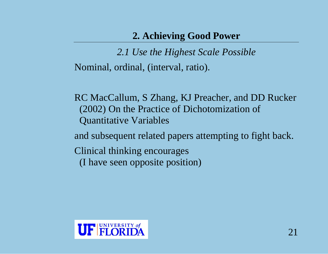*2.1 Use the Highest Scale Possible* Nominal, ordinal, (interval, ratio).

RC MacCallum, S Zhang, KJ Preacher, and DD Rucker (2002) On the Practice of Dichotomization of Quantitative Variables

and subsequent related papers attempting to fight back.

Clinical thinking encourages

(I have seen opposite position)

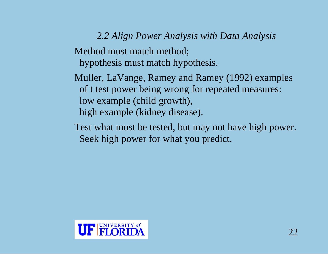*2.2 Align Power Analysis with Data Analysis*

Method must match method;

hypothesis must match hypothesis.

Muller, LaVange, Ramey and Ramey (1992) examples of t test power being wrong for repeated measures: low example (child growth), high example (kidney disease).

Test what must be tested, but may not have high power. Seek high power for what you predict.

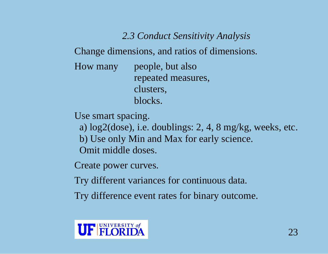*2.3 Conduct Sensitivity Analysis*

Change dimensions, and ratios of dimensions.

How many people, but also repeated measures, clusters, blocks.

Use smart spacing.

a) log2(dose), i.e. doublings: 2, 4, 8 mg/kg, weeks, etc. b) Use only Min and Max for early science. Omit middle doses.

Create power curves.

Try different variances for continuous data.

Try difference event rates for binary outcome.

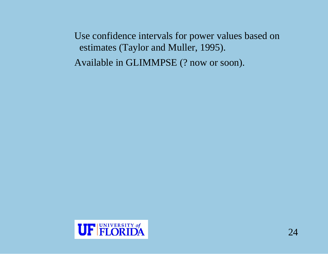Use confidence intervals for power values based on estimates (Taylor and Muller, 1995). Available in GLIMMPSE (? now or soon).

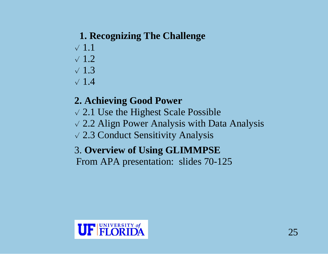#### **1. Recognizing The Challenge**

- $\sqrt{1.1}$
- $\sqrt{1.2}$
- $\sqrt{1.3}$
- $\sqrt{1.4}$

## **2. Achieving Good Power**

- $\sqrt{2.1}$  Use the Highest Scale Possible
- $\sqrt{2.2}$  Align Power Analysis with Data Analysis
- $\sqrt{2.3}$  Conduct Sensitivity Analysis

#### 3. **Overview of Using GLIMMPSE** From APA presentation: slides 70-125